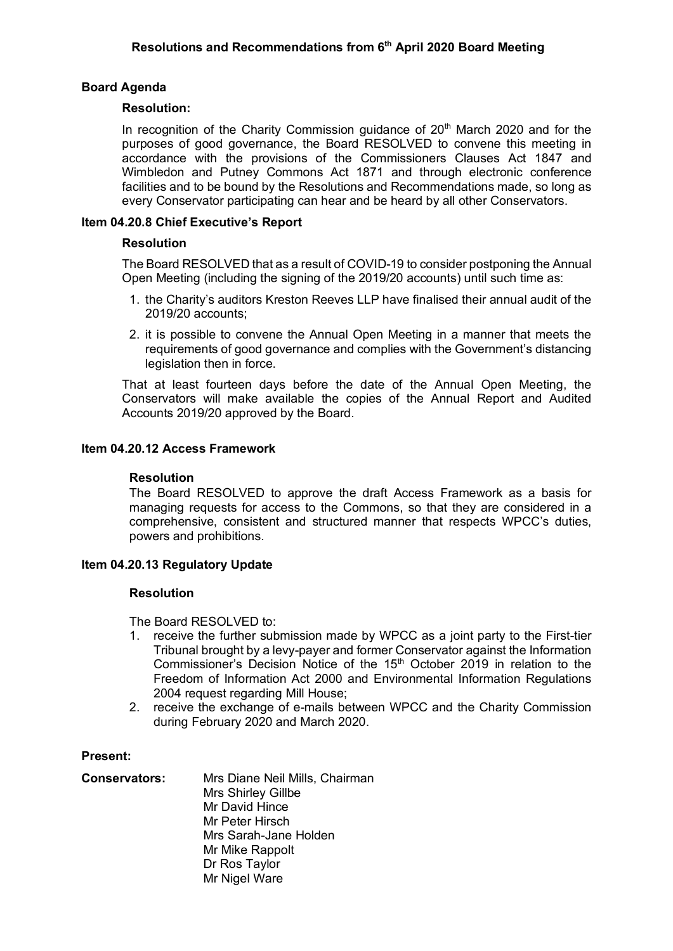# **Board Agenda**

### **Resolution:**

In recognition of the Charity Commission guidance of  $20<sup>th</sup>$  March 2020 and for the purposes of good governance, the Board RESOLVED to convene this meeting in accordance with the provisions of the Commissioners Clauses Act 1847 and Wimbledon and Putney Commons Act 1871 and through electronic conference facilities and to be bound by the Resolutions and Recommendations made, so long as every Conservator participating can hear and be heard by all other Conservators.

### **Item 04.20.8 Chief Executive's Report**

# **Resolution**

The Board RESOLVED that as a result of COVID-19 to consider postponing the Annual Open Meeting (including the signing of the 2019/20 accounts) until such time as:

- 1. the Charity's auditors Kreston Reeves LLP have finalised their annual audit of the 2019/20 accounts;
- 2. it is possible to convene the Annual Open Meeting in a manner that meets the requirements of good governance and complies with the Government's distancing legislation then in force.

That at least fourteen days before the date of the Annual Open Meeting, the Conservators will make available the copies of the Annual Report and Audited Accounts 2019/20 approved by the Board.

### **Item 04.20.12 Access Framework**

#### **Resolution**

The Board RESOLVED to approve the draft Access Framework as a basis for managing requests for access to the Commons, so that they are considered in a comprehensive, consistent and structured manner that respects WPCC's duties, powers and prohibitions.

# **Item 04.20.13 Regulatory Update**

#### **Resolution**

The Board RESOLVED to:

- 1. receive the further submission made by WPCC as a joint party to the First-tier Tribunal brought by a levy-payer and former Conservator against the Information Commissioner's Decision Notice of the 15<sup>th</sup> October 2019 in relation to the Freedom of Information Act 2000 and Environmental Information Regulations 2004 request regarding Mill House;
- 2. receive the exchange of e-mails between WPCC and the Charity Commission during February 2020 and March 2020.

#### **Present:**

| <b>Conservators:</b> | Mrs Diane Neil Mills, Chairman |
|----------------------|--------------------------------|
|                      | Mrs Shirley Gillbe             |
|                      | Mr David Hince                 |
|                      | Mr Peter Hirsch                |
|                      | Mrs Sarah-Jane Holden          |
|                      | Mr Mike Rappolt                |
|                      | Dr Ros Taylor                  |
|                      | Mr Nigel Ware                  |